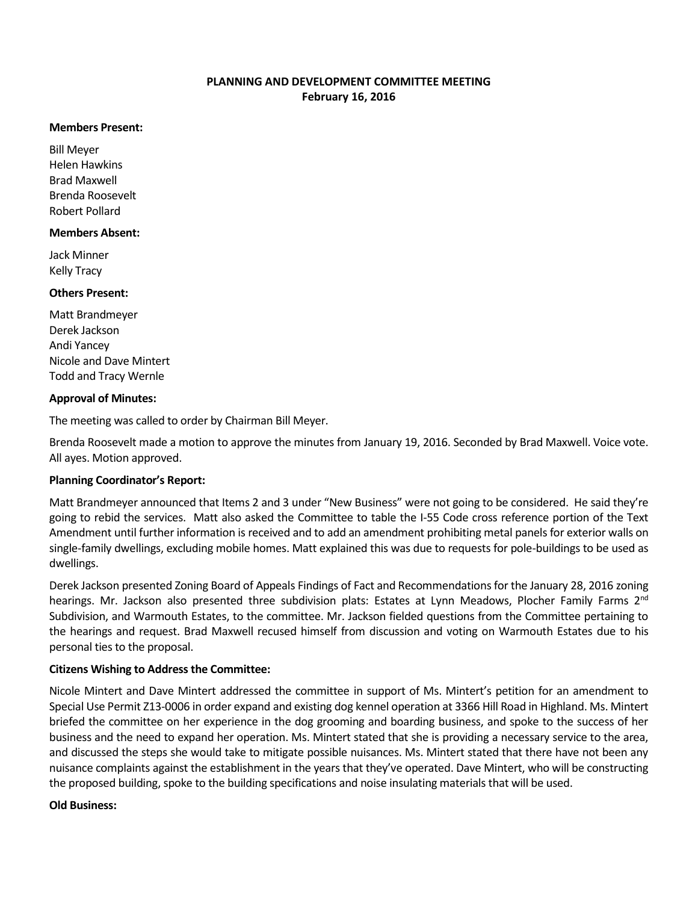# **PLANNING AND DEVELOPMENT COMMITTEE MEETING February 16, 2016**

#### **Members Present:**

Bill Meyer Helen Hawkins Brad Maxwell Brenda Roosevelt Robert Pollard

### **Members Absent:**

Jack Minner Kelly Tracy

### **Others Present:**

Matt Brandmeyer Derek Jackson Andi Yancey Nicole and Dave Mintert Todd and Tracy Wernle

### **Approval of Minutes:**

The meeting was called to order by Chairman Bill Meyer.

Brenda Roosevelt made a motion to approve the minutes from January 19, 2016. Seconded by Brad Maxwell. Voice vote. All ayes. Motion approved.

## **Planning Coordinator's Report:**

Matt Brandmeyer announced that Items 2 and 3 under "New Business" were not going to be considered. He said they're going to rebid the services. Matt also asked the Committee to table the I-55 Code cross reference portion of the Text Amendment until further information is received and to add an amendment prohibiting metal panels for exterior walls on single-family dwellings, excluding mobile homes. Matt explained this was due to requests for pole-buildings to be used as dwellings.

Derek Jackson presented Zoning Board of Appeals Findings of Fact and Recommendations for the January 28, 2016 zoning hearings. Mr. Jackson also presented three subdivision plats: Estates at Lynn Meadows, Plocher Family Farms 2<sup>nd</sup> Subdivision, and Warmouth Estates, to the committee. Mr. Jackson fielded questions from the Committee pertaining to the hearings and request. Brad Maxwell recused himself from discussion and voting on Warmouth Estates due to his personal ties to the proposal.

## **Citizens Wishing to Address the Committee:**

Nicole Mintert and Dave Mintert addressed the committee in support of Ms. Mintert's petition for an amendment to Special Use Permit Z13-0006 in order expand and existing dog kennel operation at 3366 Hill Road in Highland. Ms. Mintert briefed the committee on her experience in the dog grooming and boarding business, and spoke to the success of her business and the need to expand her operation. Ms. Mintert stated that she is providing a necessary service to the area, and discussed the steps she would take to mitigate possible nuisances. Ms. Mintert stated that there have not been any nuisance complaints against the establishment in the years that they've operated. Dave Mintert, who will be constructing the proposed building, spoke to the building specifications and noise insulating materials that will be used.

#### **Old Business:**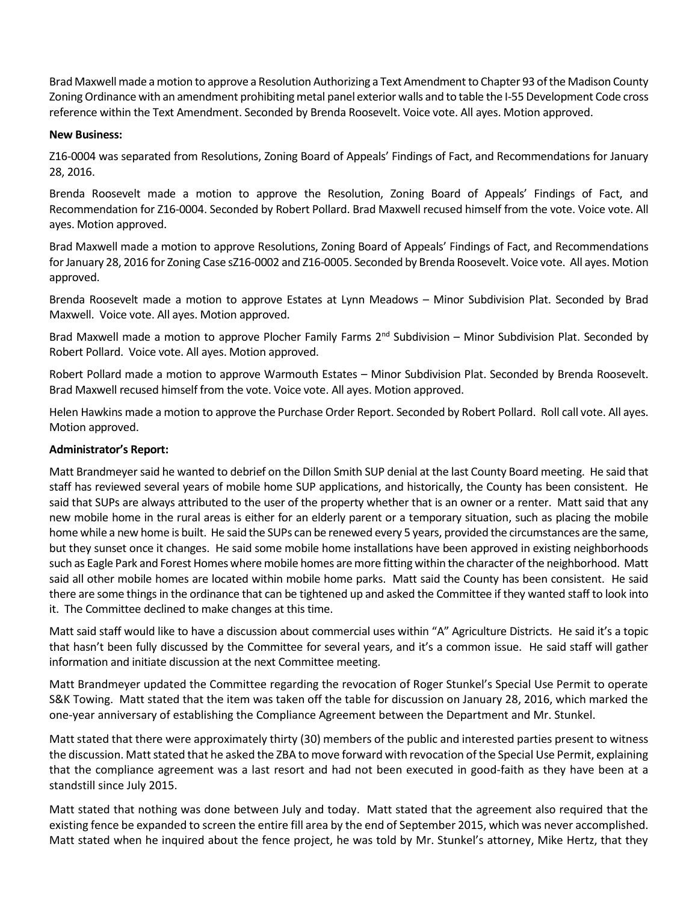Brad Maxwell made a motion to approve a Resolution Authorizing a Text Amendment to Chapter 93 of the Madison County Zoning Ordinance with an amendment prohibiting metal panel exterior walls and to table the I-55 Development Code cross reference within the Text Amendment. Seconded by Brenda Roosevelt. Voice vote. All ayes. Motion approved.

### **New Business:**

Z16-0004 was separated from Resolutions, Zoning Board of Appeals' Findings of Fact, and Recommendations for January 28, 2016.

Brenda Roosevelt made a motion to approve the Resolution, Zoning Board of Appeals' Findings of Fact, and Recommendation for Z16-0004. Seconded by Robert Pollard. Brad Maxwell recused himself from the vote. Voice vote. All ayes. Motion approved.

Brad Maxwell made a motion to approve Resolutions, Zoning Board of Appeals' Findings of Fact, and Recommendations for January 28, 2016 for Zoning Case sZ16-0002 and Z16-0005. Seconded by Brenda Roosevelt. Voice vote. All ayes. Motion approved.

Brenda Roosevelt made a motion to approve Estates at Lynn Meadows – Minor Subdivision Plat. Seconded by Brad Maxwell. Voice vote. All ayes. Motion approved.

Brad Maxwell made a motion to approve Plocher Family Farms  $2^{nd}$  Subdivision – Minor Subdivision Plat. Seconded by Robert Pollard. Voice vote. All ayes. Motion approved.

Robert Pollard made a motion to approve Warmouth Estates – Minor Subdivision Plat. Seconded by Brenda Roosevelt. Brad Maxwell recused himself from the vote. Voice vote. All ayes. Motion approved.

Helen Hawkins made a motion to approve the Purchase Order Report. Seconded by Robert Pollard. Roll call vote. All ayes. Motion approved.

### **Administrator's Report:**

Matt Brandmeyer said he wanted to debrief on the Dillon Smith SUP denial at the last County Board meeting. He said that staff has reviewed several years of mobile home SUP applications, and historically, the County has been consistent. He said that SUPs are always attributed to the user of the property whether that is an owner or a renter. Matt said that any new mobile home in the rural areas is either for an elderly parent or a temporary situation, such as placing the mobile home while a new home is built. He said the SUPs can be renewed every 5 years, provided the circumstances are the same, but they sunset once it changes. He said some mobile home installations have been approved in existing neighborhoods such as Eagle Park and Forest Homes where mobile homes are more fitting within the character of the neighborhood. Matt said all other mobile homes are located within mobile home parks. Matt said the County has been consistent. He said there are some things in the ordinance that can be tightened up and asked the Committee if they wanted staff to look into it. The Committee declined to make changes at this time.

Matt said staff would like to have a discussion about commercial uses within "A" Agriculture Districts. He said it's a topic that hasn't been fully discussed by the Committee for several years, and it's a common issue. He said staff will gather information and initiate discussion at the next Committee meeting.

Matt Brandmeyer updated the Committee regarding the revocation of Roger Stunkel's Special Use Permit to operate S&K Towing. Matt stated that the item was taken off the table for discussion on January 28, 2016, which marked the one-year anniversary of establishing the Compliance Agreement between the Department and Mr. Stunkel.

Matt stated that there were approximately thirty (30) members of the public and interested parties present to witness the discussion. Matt stated that he asked the ZBA to move forward with revocation of the Special Use Permit, explaining that the compliance agreement was a last resort and had not been executed in good-faith as they have been at a standstill since July 2015.

Matt stated that nothing was done between July and today. Matt stated that the agreement also required that the existing fence be expanded to screen the entire fill area by the end of September 2015, which was never accomplished. Matt stated when he inquired about the fence project, he was told by Mr. Stunkel's attorney, Mike Hertz, that they